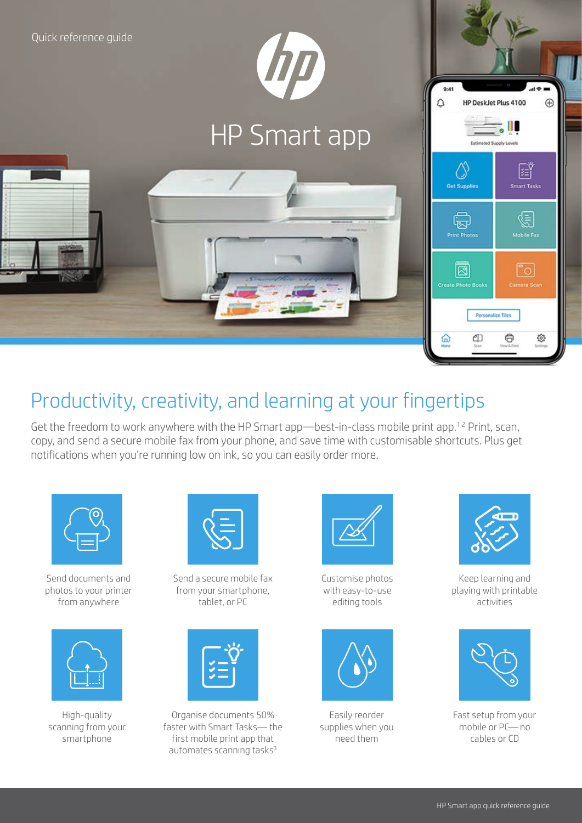

## Productivity, creativity, and learning at your fingertips

Get the freedom to work anywhere with the HP Smart app—best-in-class mobile print app.<sup>1,2</sup> Print, scan, copy, and send a secure mobile fax from your phone, and save time with customisable shortcuts. Plus get notifications when you're running low on ink, so you can easily order more.



Send documents and photos to your printer from anywhere



High-quality scanning from your smartphone



Send a secure mobile fax from your smartphone, tablet, or PC



Organise documents 50% faster with Smart Tasks— the first mobile print app that automates scanning tasks<sup>3</sup>



Customise photos with easy-to-use editing tools



Easily reorder supplies when you need them



Keep learning and playing with printable activities



Fast setup from your mobile or PC— no cables or CD